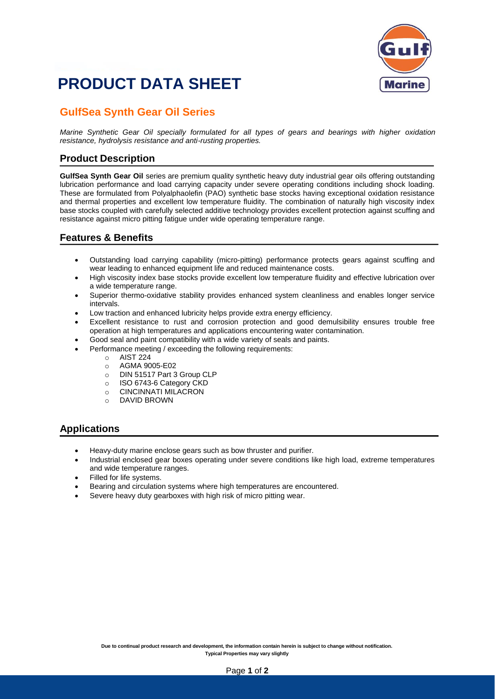

## **PRODUCT DATA SHEET**

### **GulfSea Synth Gear Oil Series**

*Marine Synthetic Gear Oil specially formulated for all types of gears and bearings with higher oxidation resistance, hydrolysis resistance and anti-rusting properties.*

#### **Product Description**

**GulfSea Synth Gear Oil** series are premium quality synthetic heavy duty industrial gear oils offering outstanding lubrication performance and load carrying capacity under severe operating conditions including shock loading. These are formulated from Polyalphaolefin (PAO) synthetic base stocks having exceptional oxidation resistance and thermal properties and excellent low temperature fluidity. The combination of naturally high viscosity index base stocks coupled with carefully selected additive technology provides excellent protection against scuffing and resistance against micro pitting fatigue under wide operating temperature range.

#### **Features & Benefits**

- Outstanding load carrying capability (micro-pitting) performance protects gears against scuffing and wear leading to enhanced equipment life and reduced maintenance costs.
- High viscosity index base stocks provide excellent low temperature fluidity and effective lubrication over a wide temperature range.
- Superior thermo-oxidative stability provides enhanced system cleanliness and enables longer service intervals.
- Low traction and enhanced lubricity helps provide extra energy efficiency.
- Excellent resistance to rust and corrosion protection and good demulsibility ensures trouble free operation at high temperatures and applications encountering water contamination.
- Good seal and paint compatibility with a wide variety of seals and paints.
- Performance meeting / exceeding the following requirements:
	- o AIST 224
	- o AGMA 9005-E02
	- o DIN 51517 Part 3 Group CLP
	- o ISO 6743-6 Category CKD
	- o CINCINNATI MILACRON
	- o DAVID BROWN

#### **Applications**

- Heavy-duty marine enclose gears such as bow thruster and purifier.
- Industrial enclosed gear boxes operating under severe conditions like high load, extreme temperatures and wide temperature ranges.
- Filled for life systems.
- Bearing and circulation systems where high temperatures are encountered.
- Severe heavy duty gearboxes with high risk of micro pitting wear.